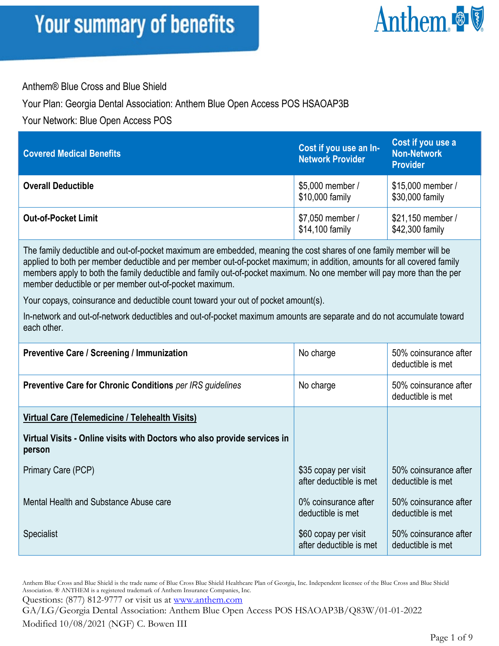### **Your summary of benefits**

## Anthem

### Anthem® Blue Cross and Blue Shield

### Your Plan: Georgia Dental Association: Anthem Blue Open Access POS HSAOAP3B

Your Network: Blue Open Access POS

| <b>Covered Medical Benefits</b> | Cost if you use an In-<br><b>Network Provider</b> | Cost if you use a<br><b>Non-Network</b><br><b>Provider</b> |
|---------------------------------|---------------------------------------------------|------------------------------------------------------------|
| <b>Overall Deductible</b>       | \$5,000 member /<br>\$10,000 family               | \$15,000 member /<br>\$30,000 family                       |
| <b>Out-of-Pocket Limit</b>      | \$7,050 member /<br>\$14,100 family               | \$21,150 member /<br>\$42,300 family                       |

The family deductible and out-of-pocket maximum are embedded, meaning the cost shares of one family member will be applied to both per member deductible and per member out-of-pocket maximum; in addition, amounts for all covered family members apply to both the family deductible and family out-of-pocket maximum. No one member will pay more than the per member deductible or per member out-of-pocket maximum.

Your copays, coinsurance and deductible count toward your out of pocket amount(s).

In-network and out-of-network deductibles and out-of-pocket maximum amounts are separate and do not accumulate toward each other.

| <b>Preventive Care / Screening / Immunization</b>                                  | No charge                                       | 50% coinsurance after<br>deductible is met |
|------------------------------------------------------------------------------------|-------------------------------------------------|--------------------------------------------|
| <b>Preventive Care for Chronic Conditions</b> per IRS quidelines                   | No charge                                       | 50% coinsurance after<br>deductible is met |
| Virtual Care (Telemedicine / Telehealth Visits)                                    |                                                 |                                            |
| Virtual Visits - Online visits with Doctors who also provide services in<br>person |                                                 |                                            |
| Primary Care (PCP)                                                                 | \$35 copay per visit<br>after deductible is met | 50% coinsurance after<br>deductible is met |
| Mental Health and Substance Abuse care                                             | 0% coinsurance after<br>deductible is met       | 50% coinsurance after<br>deductible is met |
| Specialist                                                                         | \$60 copay per visit<br>after deductible is met | 50% coinsurance after<br>deductible is met |

Anthem Blue Cross and Blue Shield is the trade name of Blue Cross Blue Shield Healthcare Plan of Georgia, Inc. Independent licensee of the Blue Cross and Blue Shield Association. ® ANTHEM is a registered trademark of Anthem Insurance Companies, Inc.

Questions: (877) 812-9777 or visit us at [www.anthem.com](http://www.bcbsga.com/)

GA/LG/Georgia Dental Association: Anthem Blue Open Access POS HSAOAP3B/Q83W/01-01-2022

Modified 10/08/2021 (NGF) C. Bowen III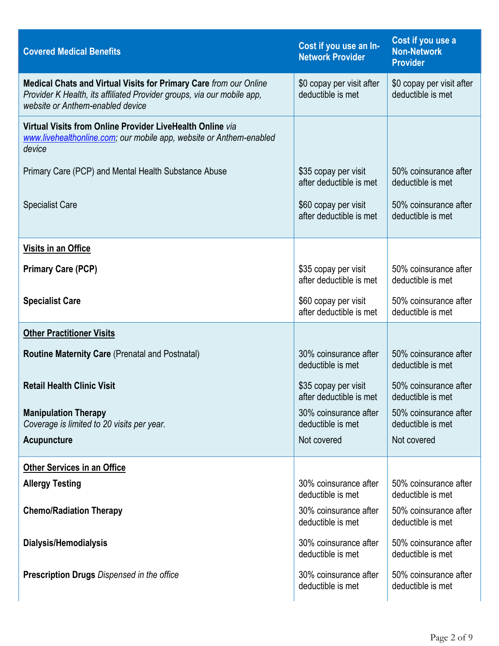| <b>Covered Medical Benefits</b>                                                                                                                                                        | Cost if you use an In-<br><b>Network Provider</b> | Cost if you use a<br><b>Non-Network</b><br><b>Provider</b> |
|----------------------------------------------------------------------------------------------------------------------------------------------------------------------------------------|---------------------------------------------------|------------------------------------------------------------|
| <b>Medical Chats and Virtual Visits for Primary Care from our Online</b><br>Provider K Health, its affiliated Provider groups, via our mobile app,<br>website or Anthem-enabled device | \$0 copay per visit after<br>deductible is met    | \$0 copay per visit after<br>deductible is met             |
| Virtual Visits from Online Provider LiveHealth Online via<br>www.livehealthonline.com; our mobile app, website or Anthem-enabled<br>device                                             |                                                   |                                                            |
| Primary Care (PCP) and Mental Health Substance Abuse                                                                                                                                   | \$35 copay per visit<br>after deductible is met   | 50% coinsurance after<br>deductible is met                 |
| <b>Specialist Care</b>                                                                                                                                                                 | \$60 copay per visit<br>after deductible is met   | 50% coinsurance after<br>deductible is met                 |
| Visits in an Office                                                                                                                                                                    |                                                   |                                                            |
| <b>Primary Care (PCP)</b>                                                                                                                                                              | \$35 copay per visit<br>after deductible is met   | 50% coinsurance after<br>deductible is met                 |
| <b>Specialist Care</b>                                                                                                                                                                 | \$60 copay per visit<br>after deductible is met   | 50% coinsurance after<br>deductible is met                 |
| <b>Other Practitioner Visits</b>                                                                                                                                                       |                                                   |                                                            |
| <b>Routine Maternity Care (Prenatal and Postnatal)</b>                                                                                                                                 | 30% coinsurance after<br>deductible is met        | 50% coinsurance after<br>deductible is met                 |
| <b>Retail Health Clinic Visit</b>                                                                                                                                                      | \$35 copay per visit<br>after deductible is met   | 50% coinsurance after<br>deductible is met                 |
| <b>Manipulation Therapy</b><br>Coverage is limited to 20 visits per year.                                                                                                              | 30% coinsurance after<br>deductible is met        | 50% coinsurance after<br>deductible is met                 |
| Acupuncture                                                                                                                                                                            | Not covered                                       | Not covered                                                |
| <b>Other Services in an Office</b>                                                                                                                                                     |                                                   |                                                            |
| <b>Allergy Testing</b>                                                                                                                                                                 | 30% coinsurance after<br>deductible is met        | 50% coinsurance after<br>deductible is met                 |
| <b>Chemo/Radiation Therapy</b>                                                                                                                                                         | 30% coinsurance after<br>deductible is met        | 50% coinsurance after<br>deductible is met                 |
| Dialysis/Hemodialysis                                                                                                                                                                  | 30% coinsurance after<br>deductible is met        | 50% coinsurance after<br>deductible is met                 |
| Prescription Drugs Dispensed in the office                                                                                                                                             | 30% coinsurance after<br>deductible is met        | 50% coinsurance after<br>deductible is met                 |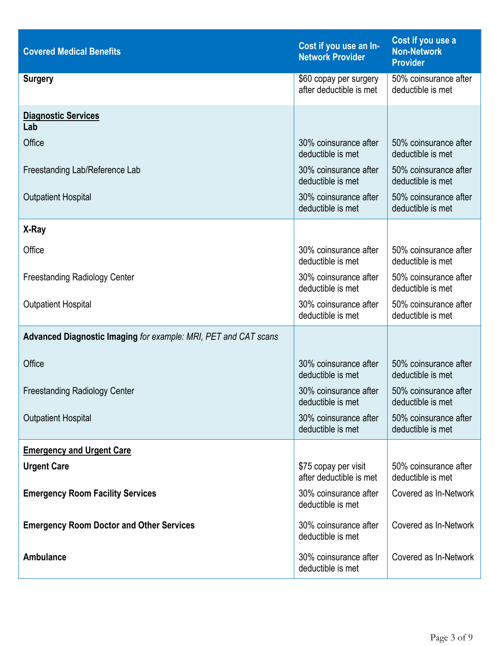| <b>Covered Medical Benefits</b>                                 | Cost if you use an In-<br><b>Network Provider</b> | Cost if you use a<br><b>Non-Network</b><br><b>Provider</b> |
|-----------------------------------------------------------------|---------------------------------------------------|------------------------------------------------------------|
| <b>Surgery</b>                                                  | \$60 copay per surgery<br>after deductible is met | 50% coinsurance after<br>deductible is met                 |
| <b>Diagnostic Services</b><br>Lab                               |                                                   |                                                            |
| Office                                                          | 30% coinsurance after<br>deductible is met        | 50% coinsurance after<br>deductible is met                 |
| Freestanding Lab/Reference Lab                                  | 30% coinsurance after<br>deductible is met        | 50% coinsurance after<br>deductible is met                 |
| <b>Outpatient Hospital</b>                                      | 30% coinsurance after<br>deductible is met        | 50% coinsurance after<br>deductible is met                 |
| X-Ray                                                           |                                                   |                                                            |
| Office                                                          | 30% coinsurance after<br>deductible is met        | 50% coinsurance after<br>deductible is met                 |
| <b>Freestanding Radiology Center</b>                            | 30% coinsurance after<br>deductible is met        | 50% coinsurance after<br>deductible is met                 |
| <b>Outpatient Hospital</b>                                      | 30% coinsurance after<br>deductible is met        | 50% coinsurance after<br>deductible is met                 |
| Advanced Diagnostic Imaging for example: MRI, PET and CAT scans |                                                   |                                                            |
| Office                                                          | 30% coinsurance after<br>deductible is met        | 50% coinsurance after<br>deductible is met                 |
| <b>Freestanding Radiology Center</b>                            | 30% coinsurance after<br>deductible is met        | 50% coinsurance after<br>deductible is met                 |
| <b>Outpatient Hospital</b>                                      | 30% coinsurance after<br>deductible is met        | 50% coinsurance after<br>deductible is met                 |
| <b>Emergency and Urgent Care</b>                                |                                                   |                                                            |
| <b>Urgent Care</b>                                              | \$75 copay per visit<br>after deductible is met   | 50% coinsurance after<br>deductible is met                 |
| <b>Emergency Room Facility Services</b>                         | 30% coinsurance after<br>deductible is met        | Covered as In-Network                                      |
| <b>Emergency Room Doctor and Other Services</b>                 | 30% coinsurance after<br>deductible is met        | Covered as In-Network                                      |
| <b>Ambulance</b>                                                | 30% coinsurance after<br>deductible is met        | Covered as In-Network                                      |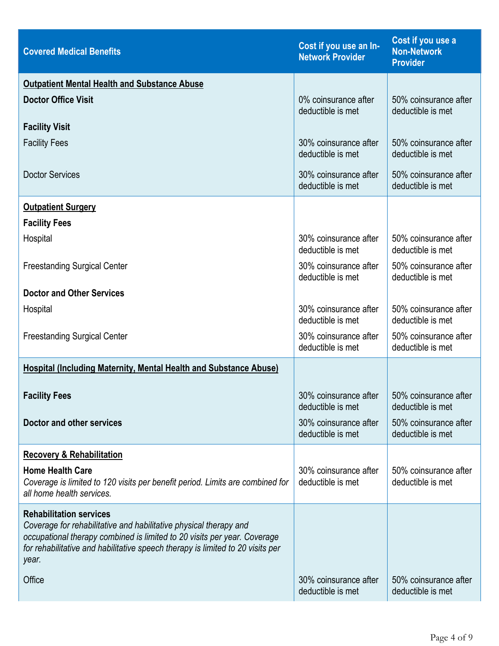| <b>Covered Medical Benefits</b>                                                                                                                                                                                                                                            | Cost if you use an In-<br><b>Network Provider</b> | Cost if you use a<br><b>Non-Network</b><br><b>Provider</b> |
|----------------------------------------------------------------------------------------------------------------------------------------------------------------------------------------------------------------------------------------------------------------------------|---------------------------------------------------|------------------------------------------------------------|
| <b>Outpatient Mental Health and Substance Abuse</b>                                                                                                                                                                                                                        |                                                   |                                                            |
| <b>Doctor Office Visit</b>                                                                                                                                                                                                                                                 | 0% coinsurance after<br>deductible is met         | 50% coinsurance after<br>deductible is met                 |
| <b>Facility Visit</b>                                                                                                                                                                                                                                                      |                                                   |                                                            |
| <b>Facility Fees</b>                                                                                                                                                                                                                                                       | 30% coinsurance after<br>deductible is met        | 50% coinsurance after<br>deductible is met                 |
| <b>Doctor Services</b>                                                                                                                                                                                                                                                     | 30% coinsurance after<br>deductible is met        | 50% coinsurance after<br>deductible is met                 |
| <b>Outpatient Surgery</b>                                                                                                                                                                                                                                                  |                                                   |                                                            |
| <b>Facility Fees</b>                                                                                                                                                                                                                                                       |                                                   |                                                            |
| Hospital                                                                                                                                                                                                                                                                   | 30% coinsurance after<br>deductible is met        | 50% coinsurance after<br>deductible is met                 |
| <b>Freestanding Surgical Center</b>                                                                                                                                                                                                                                        | 30% coinsurance after<br>deductible is met        | 50% coinsurance after<br>deductible is met                 |
| <b>Doctor and Other Services</b>                                                                                                                                                                                                                                           |                                                   |                                                            |
| Hospital                                                                                                                                                                                                                                                                   | 30% coinsurance after<br>deductible is met        | 50% coinsurance after<br>deductible is met                 |
| <b>Freestanding Surgical Center</b>                                                                                                                                                                                                                                        | 30% coinsurance after<br>deductible is met        | 50% coinsurance after<br>deductible is met                 |
| <b>Hospital (Including Maternity, Mental Health and Substance Abuse)</b>                                                                                                                                                                                                   |                                                   |                                                            |
| <b>Facility Fees</b>                                                                                                                                                                                                                                                       | 30% coinsurance after<br>deductible is met        | 50% coinsurance after<br>deductible is met                 |
| Doctor and other services                                                                                                                                                                                                                                                  | 30% coinsurance after<br>deductible is met        | 50% coinsurance after<br>deductible is met                 |
| <b>Recovery &amp; Rehabilitation</b>                                                                                                                                                                                                                                       |                                                   |                                                            |
| <b>Home Health Care</b><br>Coverage is limited to 120 visits per benefit period. Limits are combined for<br>all home health services.                                                                                                                                      | 30% coinsurance after<br>deductible is met        | 50% coinsurance after<br>deductible is met                 |
| <b>Rehabilitation services</b><br>Coverage for rehabilitative and habilitative physical therapy and<br>occupational therapy combined is limited to 20 visits per year. Coverage<br>for rehabilitative and habilitative speech therapy is limited to 20 visits per<br>year. |                                                   |                                                            |
| Office                                                                                                                                                                                                                                                                     | 30% coinsurance after<br>deductible is met        | 50% coinsurance after<br>deductible is met                 |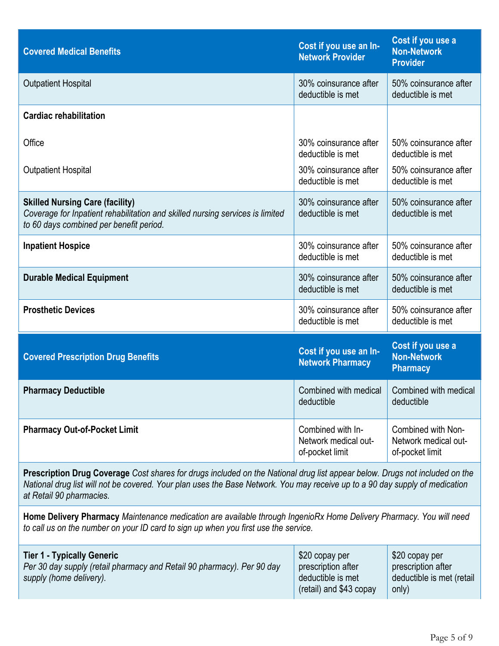| <b>Covered Medical Benefits</b>                                                                                                                                                                                                                                                         | Cost if you use an In-<br><b>Network Provider</b>            | Cost if you use a<br><b>Non-Network</b><br><b>Provider</b>    |
|-----------------------------------------------------------------------------------------------------------------------------------------------------------------------------------------------------------------------------------------------------------------------------------------|--------------------------------------------------------------|---------------------------------------------------------------|
| <b>Outpatient Hospital</b>                                                                                                                                                                                                                                                              | 30% coinsurance after<br>deductible is met                   | 50% coinsurance after<br>deductible is met                    |
| <b>Cardiac rehabilitation</b>                                                                                                                                                                                                                                                           |                                                              |                                                               |
| Office                                                                                                                                                                                                                                                                                  | 30% coinsurance after<br>deductible is met                   | 50% coinsurance after<br>deductible is met                    |
| <b>Outpatient Hospital</b>                                                                                                                                                                                                                                                              | 30% coinsurance after<br>deductible is met                   | 50% coinsurance after<br>deductible is met                    |
| <b>Skilled Nursing Care (facility)</b><br>Coverage for Inpatient rehabilitation and skilled nursing services is limited<br>to 60 days combined per benefit period.                                                                                                                      | 30% coinsurance after<br>deductible is met                   | 50% coinsurance after<br>deductible is met                    |
| <b>Inpatient Hospice</b>                                                                                                                                                                                                                                                                | 30% coinsurance after<br>deductible is met                   | 50% coinsurance after<br>deductible is met                    |
| <b>Durable Medical Equipment</b>                                                                                                                                                                                                                                                        | 30% coinsurance after<br>deductible is met                   | 50% coinsurance after<br>deductible is met                    |
| <b>Prosthetic Devices</b>                                                                                                                                                                                                                                                               | 30% coinsurance after<br>deductible is met                   | 50% coinsurance after<br>deductible is met                    |
| <b>Covered Prescription Drug Benefits</b>                                                                                                                                                                                                                                               | Cost if you use an In-<br><b>Network Pharmacy</b>            | Cost if you use a<br><b>Non-Network</b><br><b>Pharmacy</b>    |
| <b>Pharmacy Deductible</b>                                                                                                                                                                                                                                                              | Combined with medical<br>deductible                          | Combined with medical<br>deductible                           |
| <b>Pharmacy Out-of-Pocket Limit</b>                                                                                                                                                                                                                                                     | Combined with In-<br>Network medical out-<br>of-pocket limit | Combined with Non-<br>Network medical out-<br>of-pocket limit |
| Prescription Drug Coverage Cost shares for drugs included on the National drug list appear below. Drugs not included on the<br>National drug list will not be covered. Your plan uses the Base Network. You may receive up to a 90 day supply of medication<br>at Retail 90 pharmacies. |                                                              |                                                               |
| Home Delivery Pharmacy Maintenance medication are available through IngenioRx Home Delivery Pharmacy. You will need                                                                                                                                                                     |                                                              |                                                               |

| Tier 1 - Typically Generic<br>Per 30 day supply (retail pharmacy and Retail 90 pharmacy). Per 90 day<br>supply (home delivery). | \$20 copay per<br>prescription after<br>deductible is met<br>(retail) and \$43 copay | \$20 copay per<br>prescription after<br>deductible is met (retail<br>only) |
|---------------------------------------------------------------------------------------------------------------------------------|--------------------------------------------------------------------------------------|----------------------------------------------------------------------------|
|---------------------------------------------------------------------------------------------------------------------------------|--------------------------------------------------------------------------------------|----------------------------------------------------------------------------|

*to call us on the number on your ID card to sign up when you first use the service.*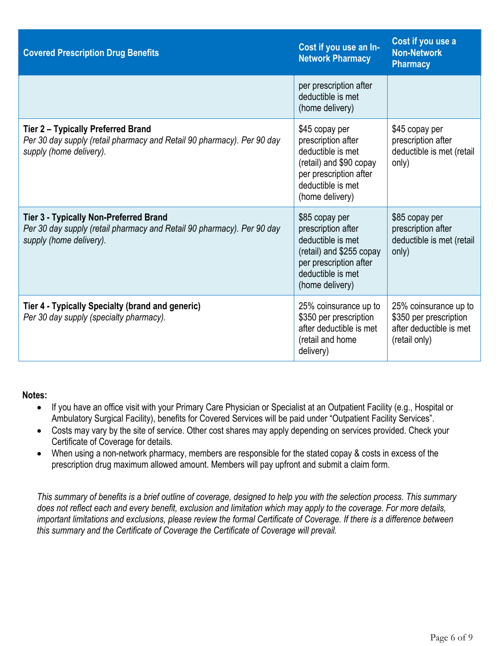| <b>Covered Prescription Drug Benefits</b>                                                                                                          | Cost if you use an In-<br><b>Network Pharmacy</b>                                                                                                       | Cost if you use a<br><b>Non-Network</b><br><b>Pharmacy</b>                                  |
|----------------------------------------------------------------------------------------------------------------------------------------------------|---------------------------------------------------------------------------------------------------------------------------------------------------------|---------------------------------------------------------------------------------------------|
|                                                                                                                                                    | per prescription after<br>deductible is met<br>(home delivery)                                                                                          |                                                                                             |
| Tier 2 - Typically Preferred Brand<br>Per 30 day supply (retail pharmacy and Retail 90 pharmacy). Per 90 day<br>supply (home delivery).            | \$45 copay per<br>prescription after<br>deductible is met<br>(retail) and \$90 copay<br>per prescription after<br>deductible is met<br>(home delivery)  | \$45 copay per<br>prescription after<br>deductible is met (retail<br>only)                  |
| <b>Tier 3 - Typically Non-Preferred Brand</b><br>Per 30 day supply (retail pharmacy and Retail 90 pharmacy). Per 90 day<br>supply (home delivery). | \$85 copay per<br>prescription after<br>deductible is met<br>(retail) and \$255 copay<br>per prescription after<br>deductible is met<br>(home delivery) | \$85 copay per<br>prescription after<br>deductible is met (retail<br>only)                  |
| Tier 4 - Typically Specialty (brand and generic)<br>Per 30 day supply (specialty pharmacy).                                                        | 25% coinsurance up to<br>\$350 per prescription<br>after deductible is met<br>(retail and home<br>delivery)                                             | 25% coinsurance up to<br>\$350 per prescription<br>after deductible is met<br>(retail only) |

### **Notes:**

- If you have an office visit with your Primary Care Physician or Specialist at an Outpatient Facility (e.g., Hospital or Ambulatory Surgical Facility), benefits for Covered Services will be paid under "Outpatient Facility Services".
- Costs may vary by the site of service. Other cost shares may apply depending on services provided. Check your Certificate of Coverage for details.
- When using a non-network pharmacy, members are responsible for the stated copay & costs in excess of the prescription drug maximum allowed amount. Members will pay upfront and submit a claim form.

*This summary of benefits is a brief outline of coverage, designed to help you with the selection process. This summary does not reflect each and every benefit, exclusion and limitation which may apply to the coverage. For more details, important limitations and exclusions, please review the formal Certificate of Coverage. If there is a difference between this summary and the Certificate of Coverage the Certificate of Coverage will prevail.*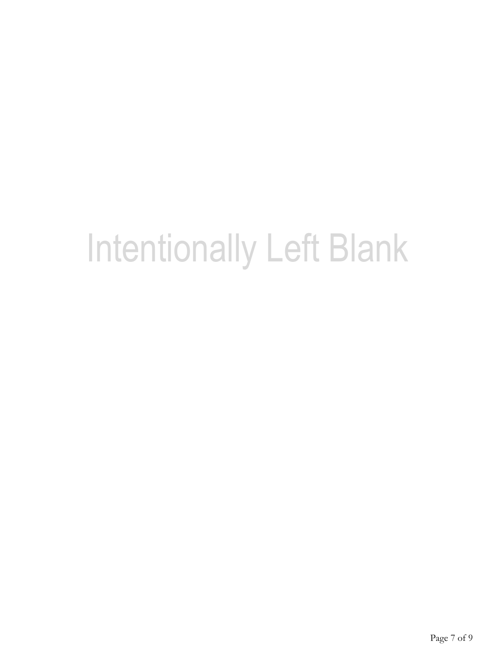# Intentionally Left Blank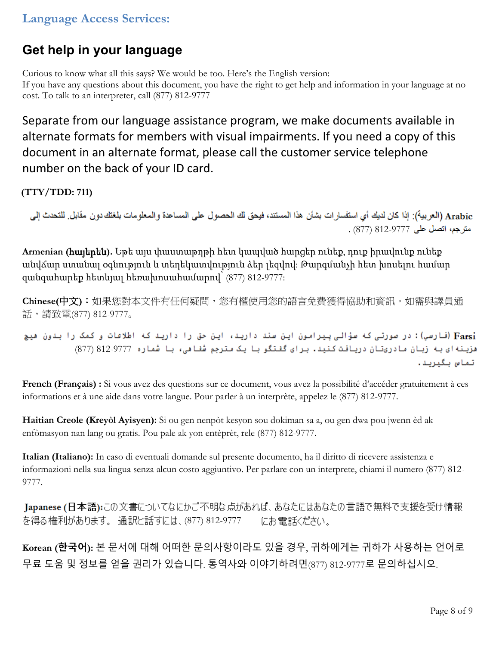### **Language Access Services:**

### **Get help in your language**

Curious to know what all this says? We would be too. Here's the English version: If you have any questions about this document, you have the right to get help and information in your language at no cost. To talk to an interpreter, call (877) 812-9777

Separate from our language assistance program, we make documents available in alternate formats for members with visual impairments. If you need a copy of this document in an alternate format, please call the customer service telephone number on the back of your ID card.

**(TTY/TDD: 711)**

Arabic (العربية): إذا كان لديك أي استفسارات بشأن هذا المستند، فيحق لك الحصول على المساعدة والمعلومات بلغتك دون مقابل. للتحدث إلى . (877) 812-9777

**Armenian (**հայերեն**).** Եթե այս փաստաթղթի հետ կապված հարցեր ունեք, դուք իրավունք ունեք անվճար ստանալ օգնություն և տեղեկատվություն ձեր լեզվով: Թարգմանչի հետ խոսելու համար զանգահարեք հետևյալ հեռախոսահամարով՝ (877) 812-9777:

**Chinese(**中文**)**:如果您對本文件有任何疑問,您有權使用您的語言免費獲得協助和資訊。如需與譯員通 話,請致電(877) 812-9777。

Farsi) (فارسي): در صورتی که سؤالی پیرامون این سند دارید، این حق را دارید که اطلاعات و کمک را بدون هیچ هزينه اي به زبان مادريتان دريافت كنيد. براي گفتگو با يک مترجم شُفاهي، با شُماره 9777-812 (877) تماس بگيريد.

**French (Français) :** Si vous avez des questions sur ce document, vous avez la possibilité d'accéder gratuitement à ces informations et à une aide dans votre langue. Pour parler à un interprète, appelez le (877) 812-9777.

**Haitian Creole (Kreyòl Ayisyen):** Si ou gen nenpòt kesyon sou dokiman sa a, ou gen dwa pou jwenn èd ak enfòmasyon nan lang ou gratis. Pou pale ak yon entèprèt, rele (877) 812-9777.

**Italian (Italiano):** In caso di eventuali domande sul presente documento, ha il diritto di ricevere assistenza e informazioni nella sua lingua senza alcun costo aggiuntivo. Per parlare con un interprete, chiami il numero (877) 812- 9777.

Japanese (日本語):この文書についてなにかご不明な点があれば、あなたにはあなたの言語で無料で支援を受け情報 を得る権利があります。 通訳と話すには、(877) 812-9777 にお電話ください。

**Korean (한국어):** 본 문서에 대해 어떠한 문의사항이라도 있을 경우, 귀하에게는 귀하가 사용하는 언어로 무료 도움 및 정보를 얻을 권리가 있습니다. 통역사와 이야기하려면(877) 812-9777로 문의하십시오.